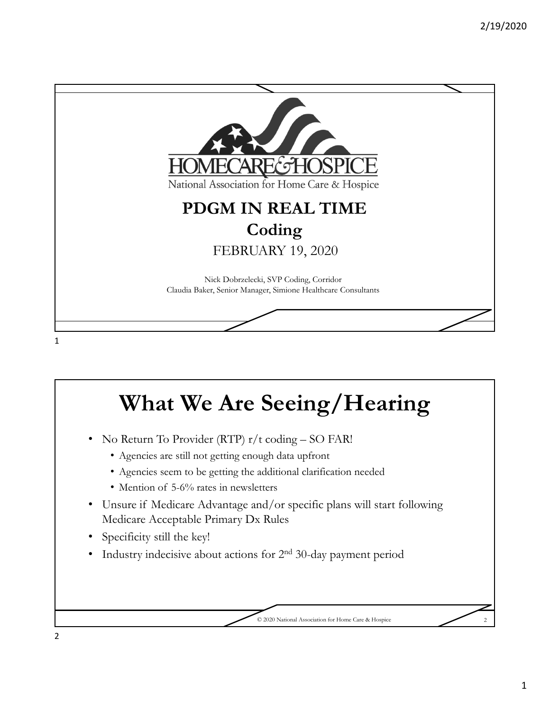

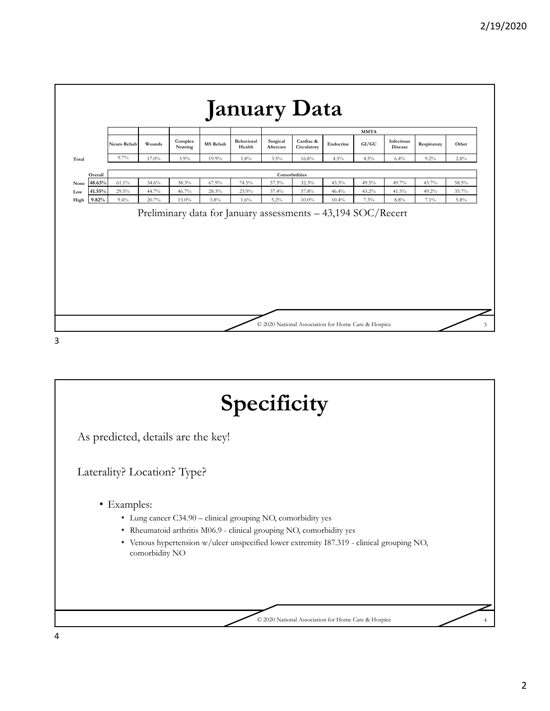

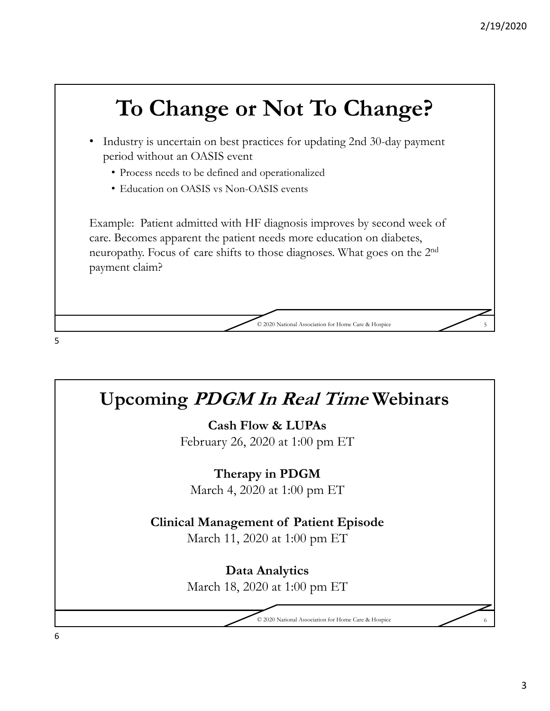# **To Change or Not To Change?**  • Industry is uncertain on best practices for updating 2nd 30-day payment period without an OASIS event • Process needs to be defined and operationalized • Education on OASIS vs Non-OASIS events Example: Patient admitted with HF diagnosis improves by second week of care. Becomes apparent the patient needs more education on diabetes, neuropathy. Focus of care shifts to those diagnoses. What goes on the 2nd payment claim? © 2020 National Association for Home Care & Hospice 5 5

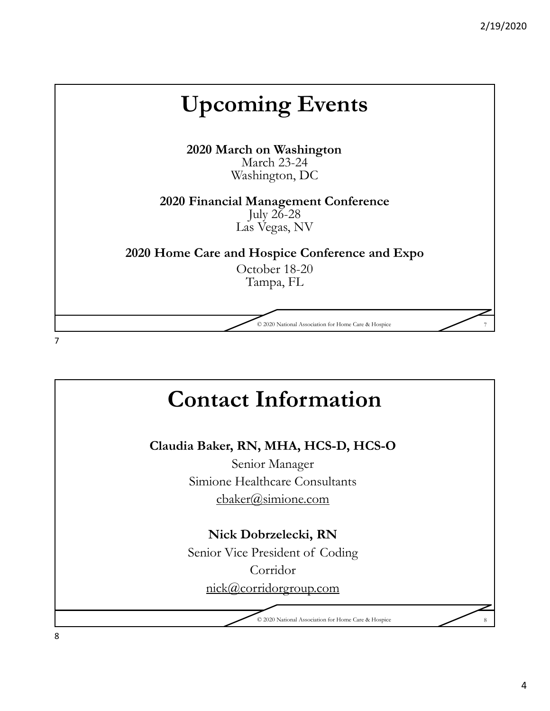## **Upcoming Events 2020 March on Washington** March 23-24 Washington, DC **2020 Financial Management Conference** July  $26-28$ Las Vegas, NV **2020 Home Care and Hospice Conference and Expo** October 18-20 Tampa, FL © 2020 National Association for Home Care & Hospice 7 7

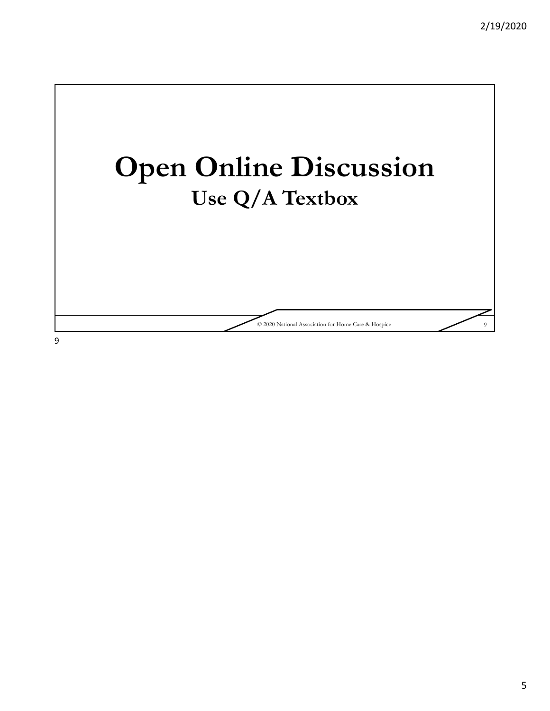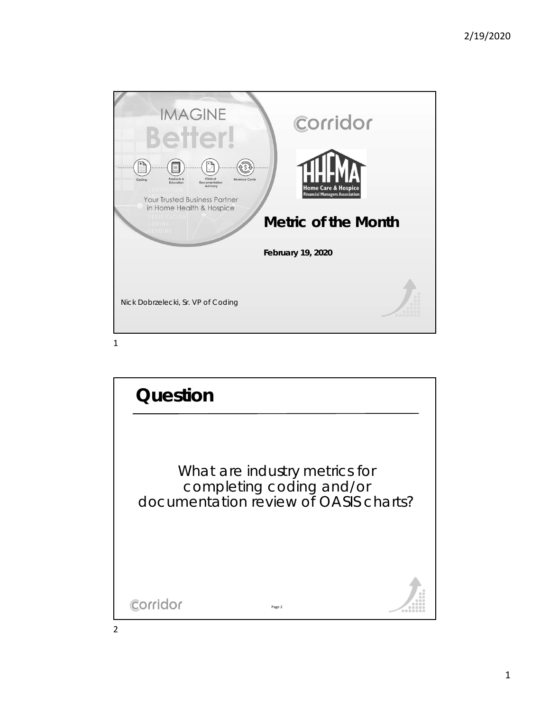

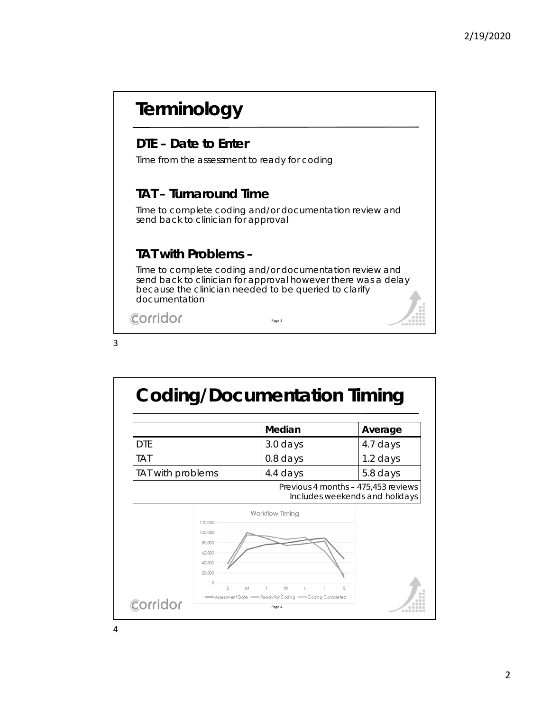#### **Terminology DTE – Date to Enter**  Time from the assessment to ready for coding **TAT – Turnaround Time**  Time to complete coding and/or documentation review and send back to clinician for approval **TAT with Problems –** Time to complete coding and/or documentation review and send back to clinician for approval however there was a delay because the clinician needed to be queried to clarify documentation Corridor Page 3



4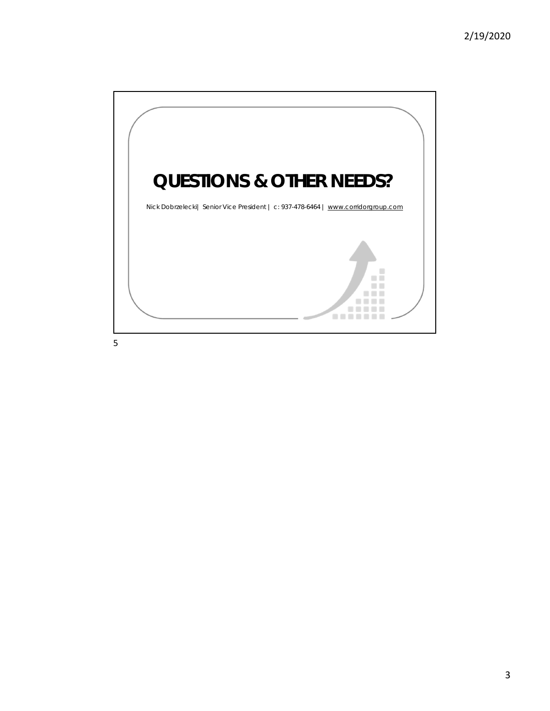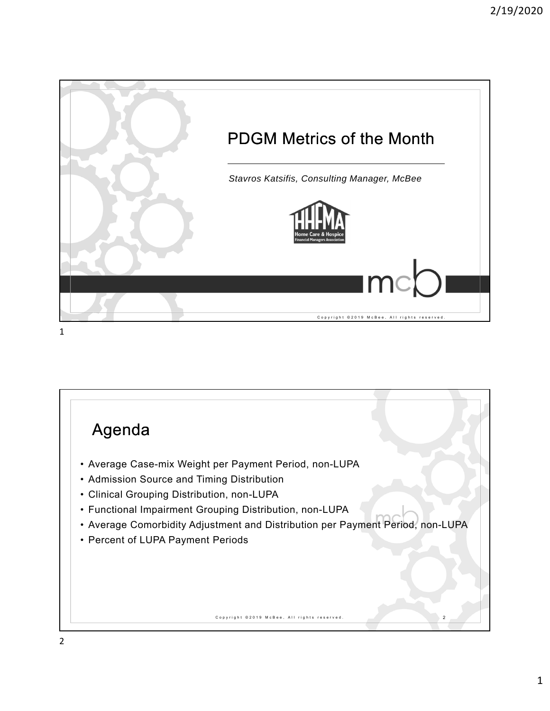

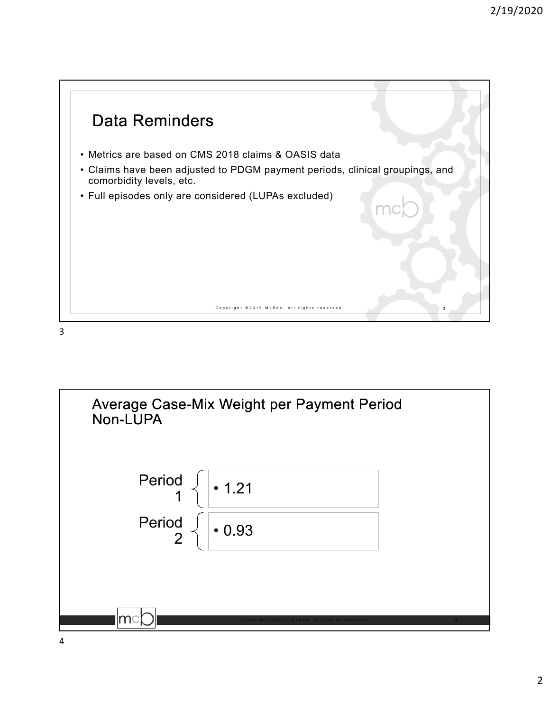

3

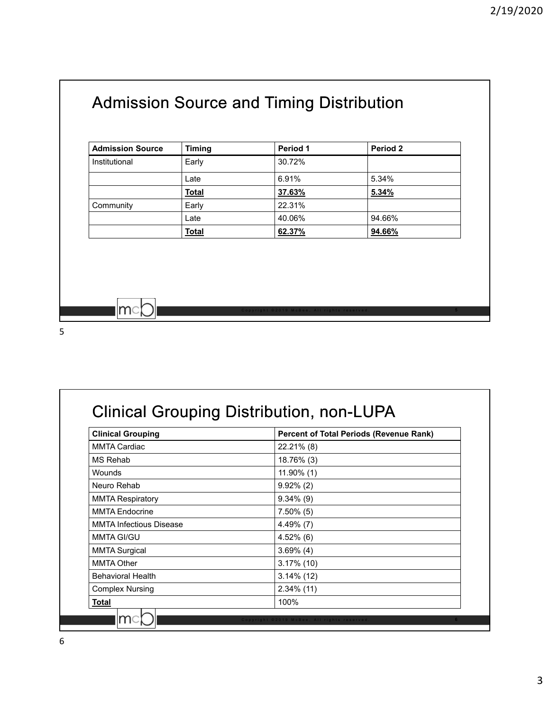### Admission Source and Timing Distribution

| <b>Admission Source</b> | <b>Timing</b> | Period 1 | Period 2 |
|-------------------------|---------------|----------|----------|
| Institutional           | Early         | 30.72%   |          |
|                         | Late          | 6.91%    | 5.34%    |
|                         | <b>Total</b>  | 37.63%   | 5.34%    |
| Community               | Early         | 22.31%   |          |
|                         | Late          | 40.06%   | 94.66%   |
|                         | <b>Total</b>  | 62.37%   | 94.66%   |

5

 $|mc|$ 

### Clinical Grouping Distribution, non-LUPA

| <b>Clinical Grouping</b>       | <b>Percent of Total Periods (Revenue Rank)</b> |
|--------------------------------|------------------------------------------------|
| <b>MMTA Cardiac</b>            | 22.21% (8)                                     |
| MS Rehab                       | 18.76% (3)                                     |
| Wounds                         | 11.90% (1)                                     |
| Neuro Rehab                    | $9.92\%$ (2)                                   |
| <b>MMTA Respiratory</b>        | $9.34\%$ (9)                                   |
| <b>MMTA Endocrine</b>          | $7.50\%$ (5)                                   |
| <b>MMTA Infectious Disease</b> | $4.49\%$ (7)                                   |
| MMTA GI/GU                     | $4.52\%$ (6)                                   |
| <b>MMTA Surgical</b>           | $3.69\%$ (4)                                   |
| <b>MMTA Other</b>              | $3.17\%$ (10)                                  |
| <b>Behavioral Health</b>       | $3.14\%$ (12)                                  |
| <b>Complex Nursing</b>         | $2.34\%$ (11)                                  |
| <b>Total</b>                   | 100%                                           |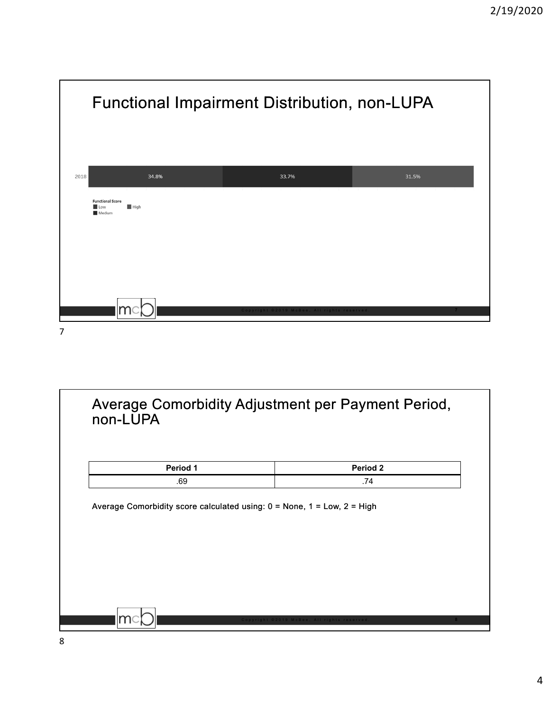

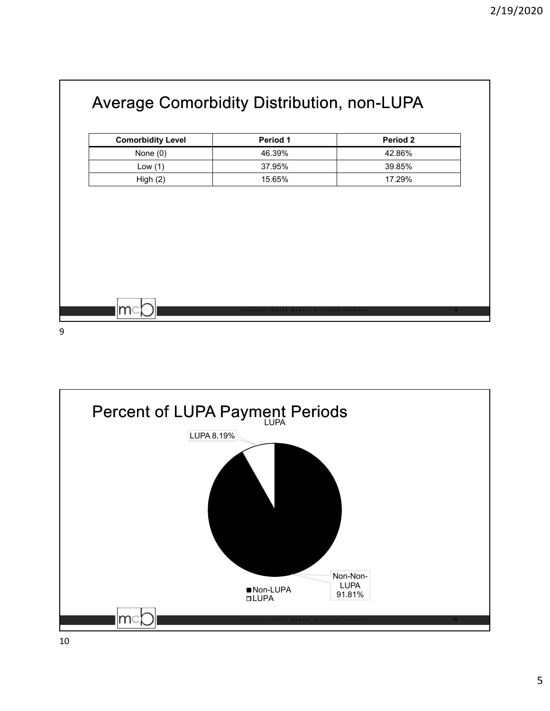| <b>Comorbidity Level</b> | Period 1 | Period 2 |
|--------------------------|----------|----------|
| None $(0)$               | 46.39%   | 42.86%   |
| Low $(1)$                | 37.95%   | 39.85%   |
| High(2)                  | 15.65%   | 17.29%   |
|                          |          |          |